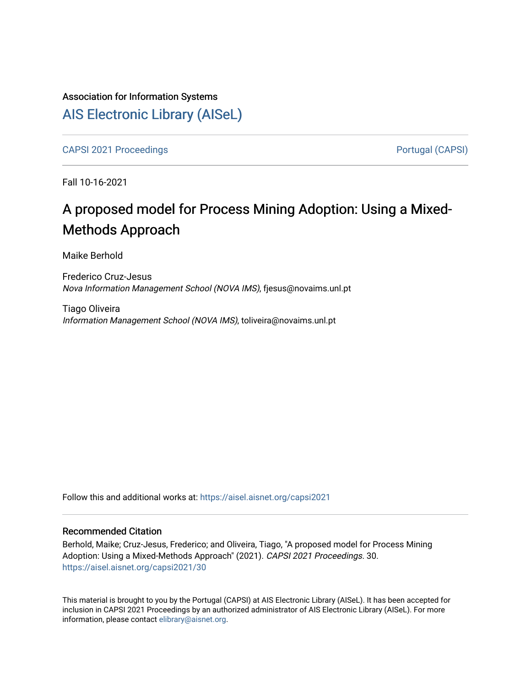# Association for Information Systems [AIS Electronic Library \(AISeL\)](https://aisel.aisnet.org/)

[CAPSI 2021 Proceedings](https://aisel.aisnet.org/capsi2021) **Portugal (CAPSI)** Portugal (CAPSI)

Fall 10-16-2021

# A proposed model for Process Mining Adoption: Using a Mixed-Methods Approach

Maike Berhold

Frederico Cruz-Jesus Nova Information Management School (NOVA IMS), fjesus@novaims.unl.pt

Tiago Oliveira Information Management School (NOVA IMS), toliveira@novaims.unl.pt

Follow this and additional works at: [https://aisel.aisnet.org/capsi2021](https://aisel.aisnet.org/capsi2021?utm_source=aisel.aisnet.org%2Fcapsi2021%2F30&utm_medium=PDF&utm_campaign=PDFCoverPages)

# Recommended Citation

Berhold, Maike; Cruz-Jesus, Frederico; and Oliveira, Tiago, "A proposed model for Process Mining Adoption: Using a Mixed-Methods Approach" (2021). CAPSI 2021 Proceedings. 30. [https://aisel.aisnet.org/capsi2021/30](https://aisel.aisnet.org/capsi2021/30?utm_source=aisel.aisnet.org%2Fcapsi2021%2F30&utm_medium=PDF&utm_campaign=PDFCoverPages) 

This material is brought to you by the Portugal (CAPSI) at AIS Electronic Library (AISeL). It has been accepted for inclusion in CAPSI 2021 Proceedings by an authorized administrator of AIS Electronic Library (AISeL). For more information, please contact [elibrary@aisnet.org.](mailto:elibrary@aisnet.org%3E)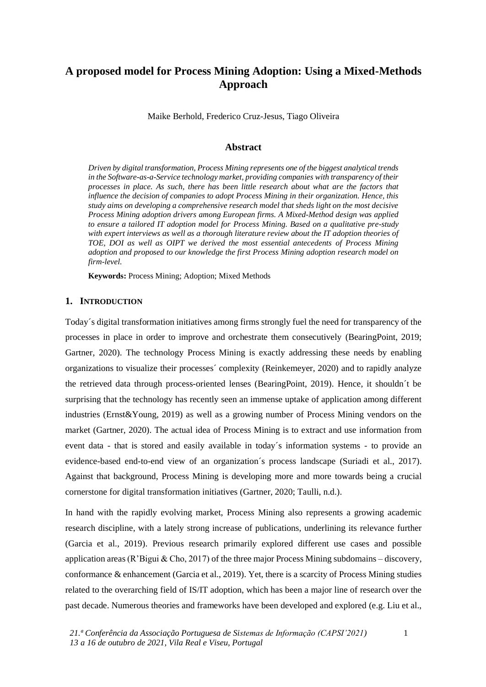# **A proposed model for Process Mining Adoption: Using a Mixed-Methods Approach**

Maike Berhold, Frederico Cruz-Jesus, Tiago Oliveira

#### **Abstract**

*Driven by digital transformation, Process Mining represents one of the biggest analytical trends in the Software-as-a-Service technology market, providing companies with transparency of their processes in place. As such, there has been little research about what are the factors that influence the decision of companies to adopt Process Mining in their organization. Hence, this study aims on developing a comprehensive research model that sheds light on the most decisive Process Mining adoption drivers among European firms. A Mixed-Method design was applied to ensure a tailored IT adoption model for Process Mining. Based on a qualitative pre-study with expert interviews as well as a thorough literature review about the IT adoption theories of TOE, DOI as well as OIPT we derived the most essential antecedents of Process Mining adoption and proposed to our knowledge the first Process Mining adoption research model on firm-level.*

**Keywords:** Process Mining; Adoption; Mixed Methods

## **1. INTRODUCTION**

Today´s digital transformation initiatives among firms strongly fuel the need for transparency of the processes in place in order to improve and orchestrate them consecutively (BearingPoint, 2019; Gartner, 2020). The technology Process Mining is exactly addressing these needs by enabling organizations to visualize their processes´ complexity (Reinkemeyer, 2020) and to rapidly analyze the retrieved data through process-oriented lenses (BearingPoint, 2019). Hence, it shouldn´t be surprising that the technology has recently seen an immense uptake of application among different industries (Ernst&Young, 2019) as well as a growing number of Process Mining vendors on the market (Gartner, 2020). The actual idea of Process Mining is to extract and use information from event data - that is stored and easily available in today´s information systems - to provide an evidence-based end-to-end view of an organization´s process landscape (Suriadi et al., 2017). Against that background, Process Mining is developing more and more towards being a crucial cornerstone for digital transformation initiatives (Gartner, 2020; Taulli, n.d.).

In hand with the rapidly evolving market, Process Mining also represents a growing academic research discipline, with a lately strong increase of publications, underlining its relevance further (Garcia et al., 2019). Previous research primarily explored different use cases and possible application areas (R'Bigui & Cho, 2017) of the three major Process Mining subdomains – discovery, conformance & enhancement (Garcia et al., 2019). Yet, there is a scarcity of Process Mining studies related to the overarching field of IS/IT adoption, which has been a major line of research over the past decade. Numerous theories and frameworks have been developed and explored (e.g. Liu et al.,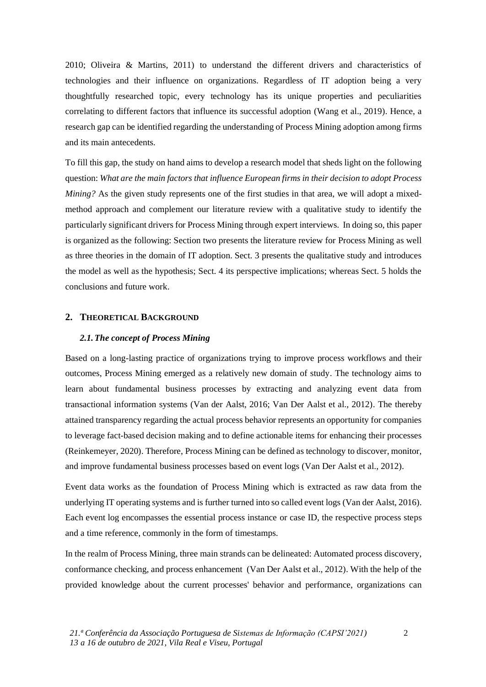2010; Oliveira & Martins, 2011) to understand the different drivers and characteristics of technologies and their influence on organizations. Regardless of IT adoption being a very thoughtfully researched topic, every technology has its unique properties and peculiarities correlating to different factors that influence its successful adoption (Wang et al., 2019). Hence, a research gap can be identified regarding the understanding of Process Mining adoption among firms and its main antecedents.

To fill this gap, the study on hand aims to develop a research model that sheds light on the following question: *What are the main factors that influence European firms in their decision to adopt Process Mining?* As the given study represents one of the first studies in that area, we will adopt a mixedmethod approach and complement our literature review with a qualitative study to identify the particularly significant drivers for Process Mining through expert interviews. In doing so, this paper is organized as the following: Section two presents the literature review for Process Mining as well as three theories in the domain of IT adoption. Sect. 3 presents the qualitative study and introduces the model as well as the hypothesis; Sect. 4 its perspective implications; whereas Sect. 5 holds the conclusions and future work.

# **2. THEORETICAL BACKGROUND**

# *2.1.The concept of Process Mining*

Based on a long-lasting practice of organizations trying to improve process workflows and their outcomes, Process Mining emerged as a relatively new domain of study. The technology aims to learn about fundamental business processes by extracting and analyzing event data from transactional information systems (Van der Aalst, 2016; Van Der Aalst et al., 2012). The thereby attained transparency regarding the actual process behavior represents an opportunity for companies to leverage fact-based decision making and to define actionable items for enhancing their processes (Reinkemeyer, 2020). Therefore, Process Mining can be defined as technology to discover, monitor, and improve fundamental business processes based on event logs (Van Der Aalst et al., 2012).

Event data works as the foundation of Process Mining which is extracted as raw data from the underlying IT operating systems and is further turned into so called event logs (Van der Aalst, 2016). Each event log encompasses the essential process instance or case ID, the respective process steps and a time reference, commonly in the form of timestamps.

In the realm of Process Mining, three main strands can be delineated: Automated process discovery, conformance checking, and process enhancement (Van Der Aalst et al., 2012). With the help of the provided knowledge about the current processes' behavior and performance, organizations can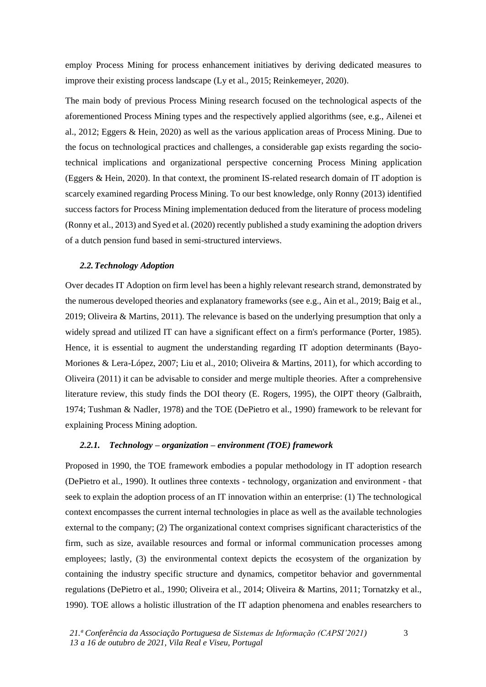employ Process Mining for process enhancement initiatives by deriving dedicated measures to improve their existing process landscape (Ly et al., 2015; Reinkemeyer, 2020).

The main body of previous Process Mining research focused on the technological aspects of the aforementioned Process Mining types and the respectively applied algorithms (see, e.g., Ailenei et al., 2012; Eggers & Hein, 2020) as well as the various application areas of Process Mining. Due to the focus on technological practices and challenges, a considerable gap exists regarding the sociotechnical implications and organizational perspective concerning Process Mining application (Eggers & Hein, 2020). In that context, the prominent IS-related research domain of IT adoption is scarcely examined regarding Process Mining. To our best knowledge, only Ronny (2013) identified success factors for Process Mining implementation deduced from the literature of process modeling (Ronny et al., 2013) and Syed et al. (2020) recently published a study examining the adoption drivers of a dutch pension fund based in semi-structured interviews.

# *2.2.Technology Adoption*

Over decades IT Adoption on firm level has been a highly relevant research strand, demonstrated by the numerous developed theories and explanatory frameworks (see e.g., Ain et al., 2019; Baig et al., 2019; Oliveira & Martins, 2011). The relevance is based on the underlying presumption that only a widely spread and utilized IT can have a significant effect on a firm's performance (Porter, 1985). Hence, it is essential to augment the understanding regarding IT adoption determinants (Bayo-Moriones & Lera-López, 2007; Liu et al., 2010; Oliveira & Martins, 2011), for which according to Oliveira (2011) it can be advisable to consider and merge multiple theories. After a comprehensive literature review, this study finds the DOI theory (E. Rogers, 1995), the OIPT theory (Galbraith, 1974; Tushman & Nadler, 1978) and the TOE (DePietro et al., 1990) framework to be relevant for explaining Process Mining adoption.

# *2.2.1. Technology – organization – environment (TOE) framework*

Proposed in 1990, the TOE framework embodies a popular methodology in IT adoption research (DePietro et al., 1990). It outlines three contexts - technology, organization and environment - that seek to explain the adoption process of an IT innovation within an enterprise: (1) The technological context encompasses the current internal technologies in place as well as the available technologies external to the company; (2) The organizational context comprises significant characteristics of the firm, such as size, available resources and formal or informal communication processes among employees; lastly, (3) the environmental context depicts the ecosystem of the organization by containing the industry specific structure and dynamics, competitor behavior and governmental regulations (DePietro et al., 1990; Oliveira et al., 2014; Oliveira & Martins, 2011; Tornatzky et al., 1990). TOE allows a holistic illustration of the IT adaption phenomena and enables researchers to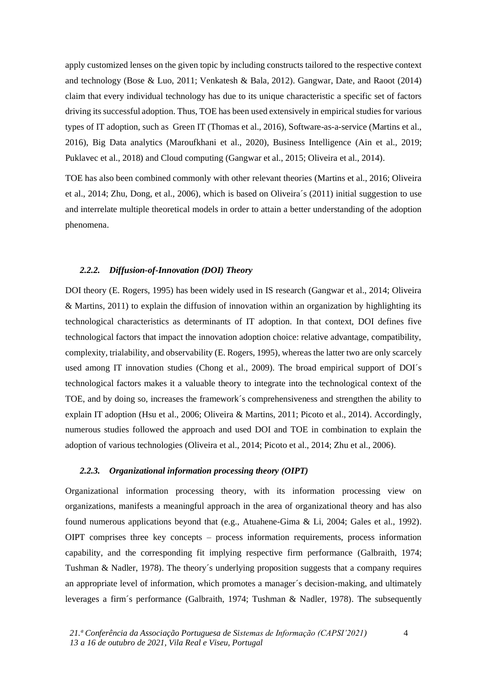apply customized lenses on the given topic by including constructs tailored to the respective context and technology (Bose & Luo, 2011; Venkatesh & Bala, 2012). Gangwar, Date, and Raoot (2014) claim that every individual technology has due to its unique characteristic a specific set of factors driving its successful adoption. Thus, TOE has been used extensively in empirical studies for various types of IT adoption, such as Green IT (Thomas et al., 2016), Software-as-a-service (Martins et al., 2016), Big Data analytics (Maroufkhani et al., 2020), Business Intelligence (Ain et al., 2019; Puklavec et al., 2018) and Cloud computing (Gangwar et al., 2015; Oliveira et al., 2014).

TOE has also been combined commonly with other relevant theories (Martins et al., 2016; Oliveira et al., 2014; Zhu, Dong, et al., 2006), which is based on Oliveira´s (2011) initial suggestion to use and interrelate multiple theoretical models in order to attain a better understanding of the adoption phenomena.

#### *2.2.2. Diffusion-of-Innovation (DOI) Theory*

DOI theory (E. Rogers, 1995) has been widely used in IS research (Gangwar et al., 2014; Oliveira & Martins, 2011) to explain the diffusion of innovation within an organization by highlighting its technological characteristics as determinants of IT adoption. In that context, DOI defines five technological factors that impact the innovation adoption choice: relative advantage, compatibility, complexity, trialability, and observability (E. Rogers, 1995), whereas the latter two are only scarcely used among IT innovation studies (Chong et al., 2009). The broad empirical support of DOI´s technological factors makes it a valuable theory to integrate into the technological context of the TOE, and by doing so, increases the framework´s comprehensiveness and strengthen the ability to explain IT adoption (Hsu et al., 2006; Oliveira & Martins, 2011; Picoto et al., 2014). Accordingly, numerous studies followed the approach and used DOI and TOE in combination to explain the adoption of various technologies (Oliveira et al., 2014; Picoto et al., 2014; Zhu et al., 2006).

### *2.2.3. Organizational information processing theory (OIPT)*

Organizational information processing theory, with its information processing view on organizations, manifests a meaningful approach in the area of organizational theory and has also found numerous applications beyond that (e.g., Atuahene-Gima & Li, 2004; Gales et al., 1992). OIPT comprises three key concepts – process information requirements, process information capability, and the corresponding fit implying respective firm performance (Galbraith, 1974; Tushman & Nadler, 1978). The theory´s underlying proposition suggests that a company requires an appropriate level of information, which promotes a manager´s decision-making, and ultimately leverages a firm´s performance (Galbraith, 1974; Tushman & Nadler, 1978). The subsequently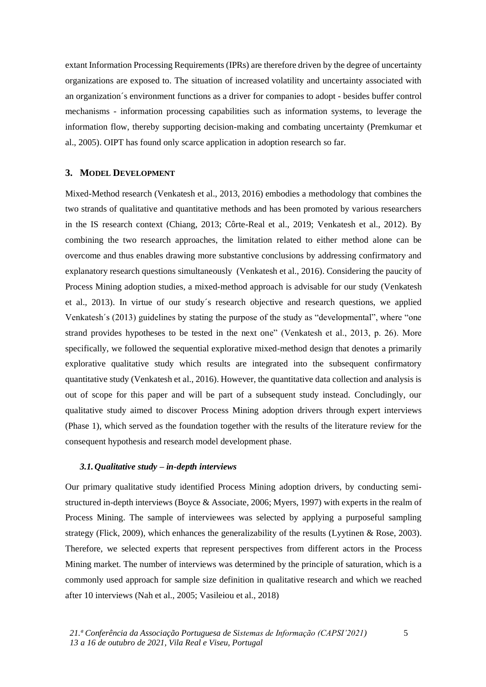extant Information Processing Requirements (IPRs) are therefore driven by the degree of uncertainty organizations are exposed to. The situation of increased volatility and uncertainty associated with an organization´s environment functions as a driver for companies to adopt - besides buffer control mechanisms - information processing capabilities such as information systems, to leverage the information flow, thereby supporting decision-making and combating uncertainty (Premkumar et al., 2005). OIPT has found only scarce application in adoption research so far.

# **3. MODEL DEVELOPMENT**

Mixed-Method research (Venkatesh et al., 2013, 2016) embodies a methodology that combines the two strands of qualitative and quantitative methods and has been promoted by various researchers in the IS research context (Chiang, 2013; Côrte-Real et al., 2019; Venkatesh et al., 2012). By combining the two research approaches, the limitation related to either method alone can be overcome and thus enables drawing more substantive conclusions by addressing confirmatory and explanatory research questions simultaneously (Venkatesh et al., 2016). Considering the paucity of Process Mining adoption studies, a mixed-method approach is advisable for our study (Venkatesh et al., 2013). In virtue of our study´s research objective and research questions, we applied Venkatesh´s (2013) guidelines by stating the purpose of the study as "developmental", where "one strand provides hypotheses to be tested in the next one" (Venkatesh et al., 2013, p. 26). More specifically, we followed the sequential explorative mixed-method design that denotes a primarily explorative qualitative study which results are integrated into the subsequent confirmatory quantitative study (Venkatesh et al., 2016). However, the quantitative data collection and analysis is out of scope for this paper and will be part of a subsequent study instead. Concludingly, our qualitative study aimed to discover Process Mining adoption drivers through expert interviews (Phase 1), which served as the foundation together with the results of the literature review for the consequent hypothesis and research model development phase.

#### *3.1.Qualitative study – in-depth interviews*

Our primary qualitative study identified Process Mining adoption drivers, by conducting semistructured in-depth interviews (Boyce & Associate, 2006; Myers, 1997) with experts in the realm of Process Mining. The sample of interviewees was selected by applying a purposeful sampling strategy (Flick, 2009), which enhances the generalizability of the results (Lyytinen & Rose, 2003). Therefore, we selected experts that represent perspectives from different actors in the Process Mining market. The number of interviews was determined by the principle of saturation, which is a commonly used approach for sample size definition in qualitative research and which we reached after 10 interviews (Nah et al., 2005; Vasileiou et al., 2018)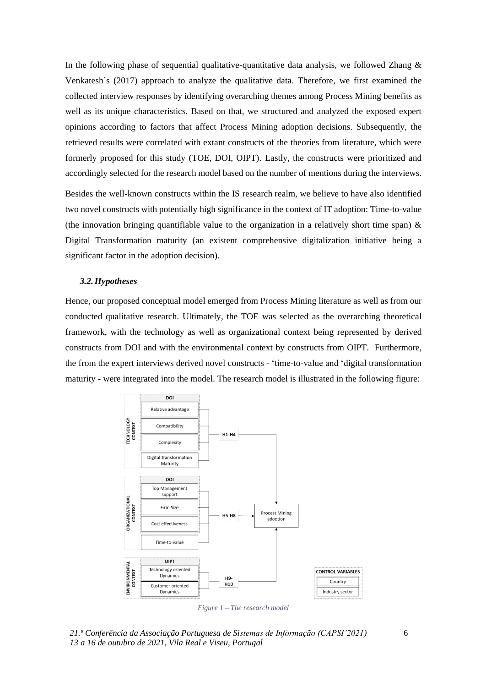In the following phase of sequential qualitative-quantitative data analysis, we followed Zhang  $\&$ Venkatesh´s (2017) approach to analyze the qualitative data. Therefore, we first examined the collected interview responses by identifying overarching themes among Process Mining benefits as well as its unique characteristics. Based on that, we structured and analyzed the exposed expert opinions according to factors that affect Process Mining adoption decisions. Subsequently, the retrieved results were correlated with extant constructs of the theories from literature, which were formerly proposed for this study (TOE, DOI, OIPT). Lastly, the constructs were prioritized and accordingly selected for the research model based on the number of mentions during the interviews.

Besides the well-known constructs within the IS research realm, we believe to have also identified two novel constructs with potentially high significance in the context of IT adoption: Time-to-value (the innovation bringing quantifiable value to the organization in a relatively short time span)  $\&$ Digital Transformation maturity (an existent comprehensive digitalization initiative being a significant factor in the adoption decision).

#### *3.2.Hypotheses*

Hence, our proposed conceptual model emerged from Process Mining literature as well as from our conducted qualitative research. Ultimately, the TOE was selected as the overarching theoretical framework, with the technology as well as organizational context being represented by derived constructs from DOI and with the environmental context by constructs from OIPT. Furthermore, the from the expert interviews derived novel constructs - 'time-to-value and 'digital transformation maturity - were integrated into the model. The research model is illustrated in the following figure:



*Figure 1 – The research model*

*21.ª Conferência da Associação Portuguesa de Sistemas de Informação (CAPSI'2021) 13 a 16 de outubro de 2021, Vila Real e Viseu, Portugal*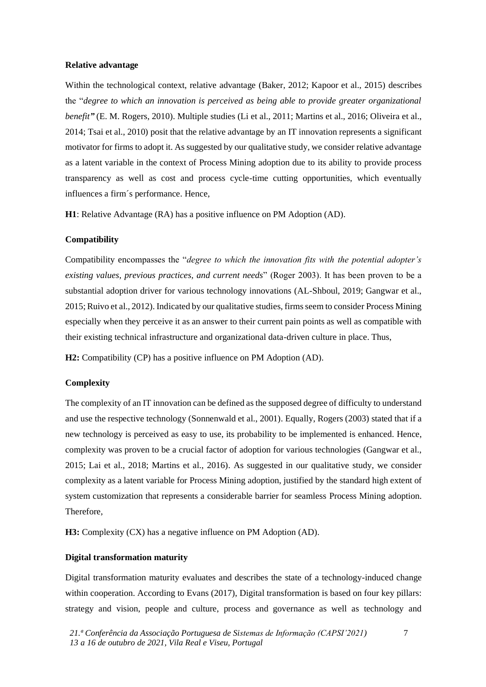#### **Relative advantage**

Within the technological context, relative advantage (Baker, 2012; Kapoor et al., 2015) describes the "*degree to which an innovation is perceived as being able to provide greater organizational benefit*<sup>"</sup> (E. M. Rogers, 2010). Multiple studies (Li et al., 2011; Martins et al., 2016; Oliveira et al., 2014; Tsai et al., 2010) posit that the relative advantage by an IT innovation represents a significant motivator for firms to adopt it. As suggested by our qualitative study, we consider relative advantage as a latent variable in the context of Process Mining adoption due to its ability to provide process transparency as well as cost and process cycle-time cutting opportunities, which eventually influences a firm´s performance. Hence,

**H1**: Relative Advantage (RA) has a positive influence on PM Adoption (AD).

#### **Compatibility**

Compatibility encompasses the "*degree to which the innovation fits with the potential adopter's existing values, previous practices, and current needs*" (Roger 2003). It has been proven to be a substantial adoption driver for various technology innovations (AL-Shboul, 2019; Gangwar et al., 2015; Ruivo et al., 2012). Indicated by our qualitative studies, firms seem to consider Process Mining especially when they perceive it as an answer to their current pain points as well as compatible with their existing technical infrastructure and organizational data-driven culture in place. Thus,

**H2:** Compatibility (CP) has a positive influence on PM Adoption (AD).

#### **Complexity**

The complexity of an IT innovation can be defined as the supposed degree of difficulty to understand and use the respective technology (Sonnenwald et al., 2001). Equally, Rogers (2003) stated that if a new technology is perceived as easy to use, its probability to be implemented is enhanced. Hence, complexity was proven to be a crucial factor of adoption for various technologies (Gangwar et al., 2015; Lai et al., 2018; Martins et al., 2016). As suggested in our qualitative study, we consider complexity as a latent variable for Process Mining adoption, justified by the standard high extent of system customization that represents a considerable barrier for seamless Process Mining adoption. Therefore,

**H3:** Complexity (CX) has a negative influence on PM Adoption (AD).

# **Digital transformation maturity**

Digital transformation maturity evaluates and describes the state of a technology-induced change within cooperation. According to Evans (2017), Digital transformation is based on four key pillars: strategy and vision, people and culture, process and governance as well as technology and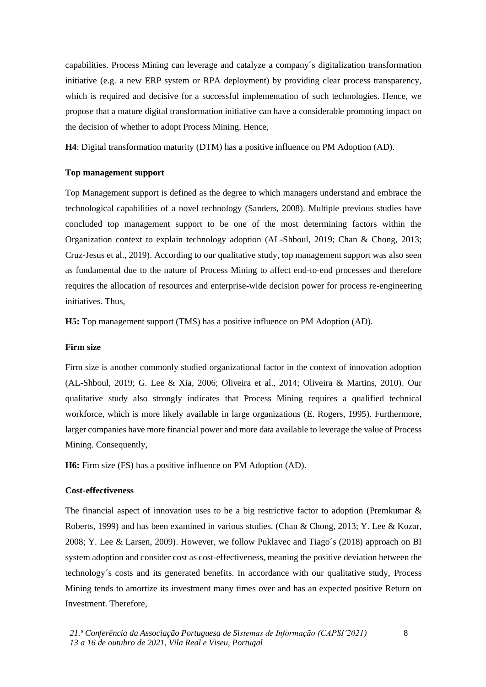capabilities. Process Mining can leverage and catalyze a company´s digitalization transformation initiative (e.g. a new ERP system or RPA deployment) by providing clear process transparency, which is required and decisive for a successful implementation of such technologies. Hence, we propose that a mature digital transformation initiative can have a considerable promoting impact on the decision of whether to adopt Process Mining. Hence,

**H4**: Digital transformation maturity (DTM) has a positive influence on PM Adoption (AD).

#### **Top management support**

Top Management support is defined as the degree to which managers understand and embrace the technological capabilities of a novel technology (Sanders, 2008). Multiple previous studies have concluded top management support to be one of the most determining factors within the Organization context to explain technology adoption (AL-Shboul, 2019; Chan & Chong, 2013; Cruz-Jesus et al., 2019). According to our qualitative study, top management support was also seen as fundamental due to the nature of Process Mining to affect end-to-end processes and therefore requires the allocation of resources and enterprise-wide decision power for process re-engineering initiatives. Thus,

**H5:** Top management support (TMS) has a positive influence on PM Adoption (AD).

#### **Firm size**

Firm size is another commonly studied organizational factor in the context of innovation adoption (AL-Shboul, 2019; G. Lee & Xia, 2006; Oliveira et al., 2014; Oliveira & Martins, 2010). Our qualitative study also strongly indicates that Process Mining requires a qualified technical workforce, which is more likely available in large organizations (E. Rogers, 1995). Furthermore, larger companies have more financial power and more data available to leverage the value of Process Mining. Consequently,

**H6:** Firm size (FS) has a positive influence on PM Adoption (AD).

#### **Cost-effectiveness**

The financial aspect of innovation uses to be a big restrictive factor to adoption (Premkumar & Roberts, 1999) and has been examined in various studies. (Chan & Chong, 2013; Y. Lee & Kozar, 2008; Y. Lee & Larsen, 2009). However, we follow Puklavec and Tiago´s (2018) approach on BI system adoption and consider cost as cost-effectiveness, meaning the positive deviation between the technology´s costs and its generated benefits. In accordance with our qualitative study, Process Mining tends to amortize its investment many times over and has an expected positive Return on Investment. Therefore,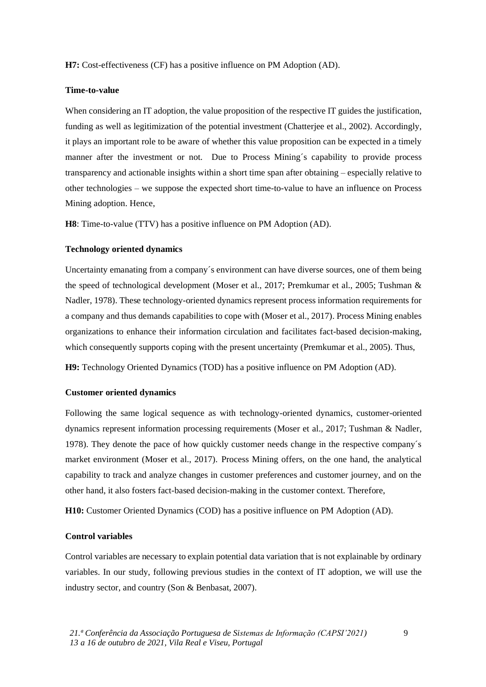**H7:** Cost-effectiveness (CF) has a positive influence on PM Adoption (AD).

## **Time-to-value**

When considering an IT adoption, the value proposition of the respective IT guides the justification, funding as well as legitimization of the potential investment (Chatterjee et al., 2002). Accordingly, it plays an important role to be aware of whether this value proposition can be expected in a timely manner after the investment or not. Due to Process Mining´s capability to provide process transparency and actionable insights within a short time span after obtaining – especially relative to other technologies – we suppose the expected short time-to-value to have an influence on Process Mining adoption. Hence,

**H8**: Time-to-value (TTV) has a positive influence on PM Adoption (AD).

#### **Technology oriented dynamics**

Uncertainty emanating from a company´s environment can have diverse sources, one of them being the speed of technological development (Moser et al., 2017; Premkumar et al., 2005; Tushman & Nadler, 1978). These technology-oriented dynamics represent process information requirements for a company and thus demands capabilities to cope with (Moser et al., 2017). Process Mining enables organizations to enhance their information circulation and facilitates fact-based decision-making, which consequently supports coping with the present uncertainty (Premkumar et al., 2005). Thus,

**H9:** Technology Oriented Dynamics (TOD) has a positive influence on PM Adoption (AD).

# **Customer oriented dynamics**

Following the same logical sequence as with technology-oriented dynamics, customer-oriented dynamics represent information processing requirements (Moser et al., 2017; Tushman & Nadler, 1978). They denote the pace of how quickly customer needs change in the respective company´s market environment (Moser et al., 2017). Process Mining offers, on the one hand, the analytical capability to track and analyze changes in customer preferences and customer journey, and on the other hand, it also fosters fact-based decision-making in the customer context. Therefore,

**H10:** Customer Oriented Dynamics (COD) has a positive influence on PM Adoption (AD).

# **Control variables**

Control variables are necessary to explain potential data variation that is not explainable by ordinary variables. In our study, following previous studies in the context of IT adoption, we will use the industry sector, and country (Son & Benbasat, 2007).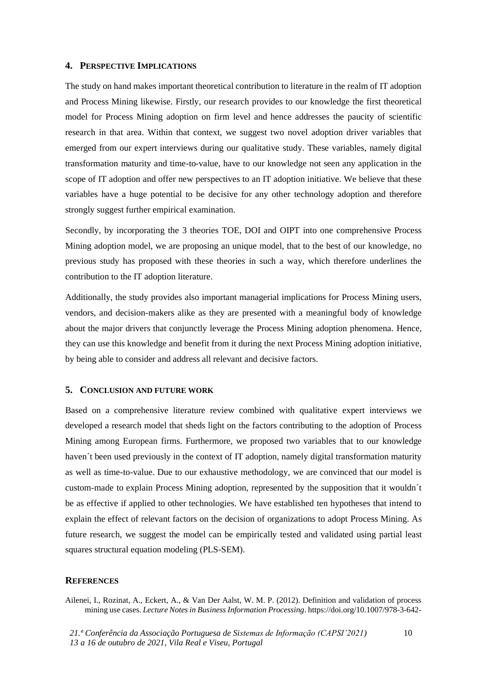## **4. PERSPECTIVE IMPLICATIONS**

The study on hand makes important theoretical contribution to literature in the realm of IT adoption and Process Mining likewise. Firstly, our research provides to our knowledge the first theoretical model for Process Mining adoption on firm level and hence addresses the paucity of scientific research in that area. Within that context, we suggest two novel adoption driver variables that emerged from our expert interviews during our qualitative study. These variables, namely digital transformation maturity and time-to-value, have to our knowledge not seen any application in the scope of IT adoption and offer new perspectives to an IT adoption initiative. We believe that these variables have a huge potential to be decisive for any other technology adoption and therefore strongly suggest further empirical examination.

Secondly, by incorporating the 3 theories TOE, DOI and OIPT into one comprehensive Process Mining adoption model, we are proposing an unique model, that to the best of our knowledge, no previous study has proposed with these theories in such a way, which therefore underlines the contribution to the IT adoption literature.

Additionally, the study provides also important managerial implications for Process Mining users, vendors, and decision-makers alike as they are presented with a meaningful body of knowledge about the major drivers that conjunctly leverage the Process Mining adoption phenomena. Hence, they can use this knowledge and benefit from it during the next Process Mining adoption initiative, by being able to consider and address all relevant and decisive factors.

#### **5. CONCLUSION AND FUTURE WORK**

Based on a comprehensive literature review combined with qualitative expert interviews we developed a research model that sheds light on the factors contributing to the adoption of Process Mining among European firms. Furthermore, we proposed two variables that to our knowledge haven´t been used previously in the context of IT adoption, namely digital transformation maturity as well as time-to-value. Due to our exhaustive methodology, we are convinced that our model is custom-made to explain Process Mining adoption, represented by the supposition that it wouldn´t be as effective if applied to other technologies. We have established ten hypotheses that intend to explain the effect of relevant factors on the decision of organizations to adopt Process Mining. As future research, we suggest the model can be empirically tested and validated using partial least squares structural equation modeling (PLS-SEM).

#### **REFERENCES**

Ailenei, I., Rozinat, A., Eckert, A., & Van Der Aalst, W. M. P. (2012). Definition and validation of process mining use cases. *Lecture Notes in Business Information Processing*. https://doi.org/10.1007/978-3-642-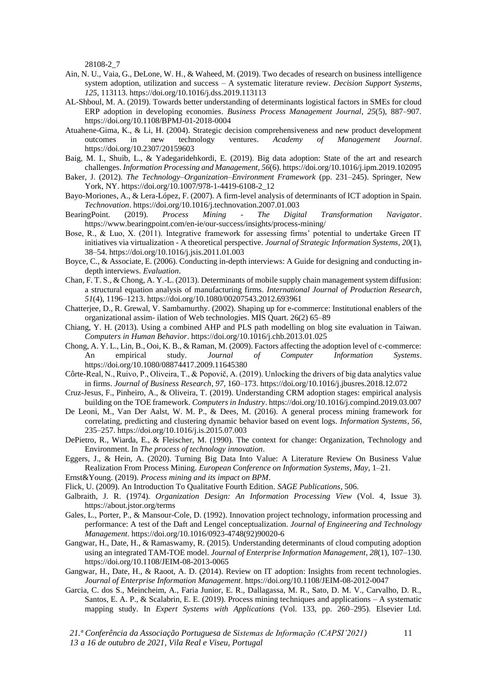28108-2\_7

- Ain, N. U., Vaia, G., DeLone, W. H., & Waheed, M. (2019). Two decades of research on business intelligence system adoption, utilization and success – A systematic literature review. *Decision Support Systems*, *125*, 113113. https://doi.org/10.1016/j.dss.2019.113113
- AL-Shboul, M. A. (2019). Towards better understanding of determinants logistical factors in SMEs for cloud ERP adoption in developing economies. *Business Process Management Journal*, *25*(5), 887–907. https://doi.org/10.1108/BPMJ-01-2018-0004
- Atuahene-Gima, K., & Li, H. (2004). Strategic decision comprehensiveness and new product development outcomes in new technology ventures. *Academy of Management Journal*. https://doi.org/10.2307/20159603
- Baig, M. I., Shuib, L., & Yadegaridehkordi, E. (2019). Big data adoption: State of the art and research challenges. *Information Processing and Management*, *56*(6). https://doi.org/10.1016/j.ipm.2019.102095
- Baker, J. (2012). *The Technology–Organization–Environment Framework* (pp. 231–245). Springer, New York, NY. https://doi.org/10.1007/978-1-4419-6108-2\_12
- Bayo-Moriones, A., & Lera-López, F. (2007). A firm-level analysis of determinants of ICT adoption in Spain. *Technovation*. https://doi.org/10.1016/j.technovation.2007.01.003
- BearingPoint. (2019). *Process Mining - The Digital Transformation Navigator*. https://www.bearingpoint.com/en-ie/our-success/insights/process-mining/
- Bose, R., & Luo, X. (2011). Integrative framework for assessing firms' potential to undertake Green IT initiatives via virtualization - A theoretical perspective. *Journal of Strategic Information Systems*, *20*(1), 38–54. https://doi.org/10.1016/j.jsis.2011.01.003
- Boyce, C., & Associate, E. (2006). Conducting in-depth interviews: A Guide for designing and conducting indepth interviews. *Evaluation*.
- Chan, F. T. S., & Chong, A. Y.-L. (2013). Determinants of mobile supply chain management system diffusion: a structural equation analysis of manufacturing firms. *International Journal of Production Research*, *51*(4), 1196–1213. https://doi.org/10.1080/00207543.2012.693961
- Chatterjee, D., R. Grewal, V. Sambamurthy. (2002). Shaping up for e-commerce: Institutional enablers of the organizational assim- ilation of Web technologies. MIS Quart. 26(2) 65–89
- Chiang, Y. H. (2013). Using a combined AHP and PLS path modelling on blog site evaluation in Taiwan. *Computers in Human Behavior*. https://doi.org/10.1016/j.chb.2013.01.025
- Chong, A. Y. L., Lin, B., Ooi, K. B., & Raman, M. (2009). Factors affecting the adoption level of c-commerce: An empirical study. *Journal of Computer Information Systems*. https://doi.org/10.1080/08874417.2009.11645380
- Côrte-Real, N., Ruivo, P., Oliveira, T., & Popovič, A. (2019). Unlocking the drivers of big data analytics value in firms. *Journal of Business Research*, *97*, 160–173. https://doi.org/10.1016/j.jbusres.2018.12.072
- Cruz-Jesus, F., Pinheiro, A., & Oliveira, T. (2019). Understanding CRM adoption stages: empirical analysis building on the TOE framework. *Computers in Industry*. https://doi.org/10.1016/j.compind.2019.03.007
- De Leoni, M., Van Der Aalst, W. M. P., & Dees, M. (2016). A general process mining framework for correlating, predicting and clustering dynamic behavior based on event logs. *Information Systems*, *56*, 235–257. https://doi.org/10.1016/j.is.2015.07.003
- DePietro, R., Wiarda, E., & Fleischer, M. (1990). The context for change: Organization, Technology and Environment. In *The process of technology innovation*.
- Eggers, J., & Hein, A. (2020). Turning Big Data Into Value: A Literature Review On Business Value Realization From Process Mining. *European Conference on Information Systems*, *May*, 1–21.
- Ernst&Young. (2019). *Process mining and its impact on BPM*.
- Flick, U. (2009). An Introduction To Qualitative Fourth Edition. *SAGE Publications*, 506.
- Galbraith, J. R. (1974). *Organization Design: An Information Processing View* (Vol. 4, Issue 3). https://about.jstor.org/terms
- Gales, L., Porter, P., & Mansour-Cole, D. (1992). Innovation project technology, information processing and performance: A test of the Daft and Lengel conceptualization. *Journal of Engineering and Technology Management*. https://doi.org/10.1016/0923-4748(92)90020-6
- Gangwar, H., Date, H., & Ramaswamy, R. (2015). Understanding determinants of cloud computing adoption using an integrated TAM-TOE model. *Journal of Enterprise Information Management*, *28*(1), 107–130. https://doi.org/10.1108/JEIM-08-2013-0065
- Gangwar, H., Date, H., & Raoot, A. D. (2014). Review on IT adoption: Insights from recent technologies. *Journal of Enterprise Information Management*. https://doi.org/10.1108/JEIM-08-2012-0047
- Garcia, C. dos S., Meincheim, A., Faria Junior, E. R., Dallagassa, M. R., Sato, D. M. V., Carvalho, D. R., Santos, E. A. P., & Scalabrin, E. E. (2019). Process mining techniques and applications – A systematic mapping study. In *Expert Systems with Applications* (Vol. 133, pp. 260–295). Elsevier Ltd.

*21.ª Conferência da Associação Portuguesa de Sistemas de Informação (CAPSI'2021) 13 a 16 de outubro de 2021, Vila Real e Viseu, Portugal*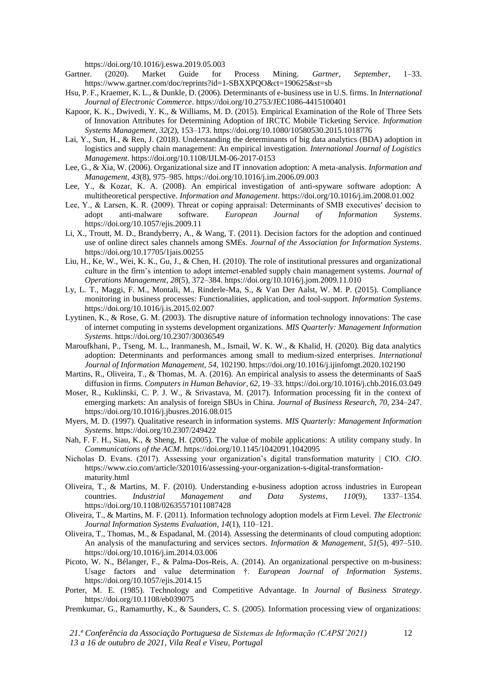https://doi.org/10.1016/j.eswa.2019.05.003

- Gartner. (2020). Market Guide for Process Mining. *Gartner*, *September*, 1–33. https://www.gartner.com/doc/reprints?id=1-SBXXPQO&ct=190625&st=sb
- Hsu, P. F., Kraemer, K. L., & Dunkle, D. (2006). Determinants of e-business use in U.S. firms. In *International Journal of Electronic Commerce*. https://doi.org/10.2753/JEC1086-4415100401
- Kapoor, K. K., Dwivedi, Y. K., & Williams, M. D. (2015). Empirical Examination of the Role of Three Sets of Innovation Attributes for Determining Adoption of IRCTC Mobile Ticketing Service. *Information Systems Management*, *32*(2), 153–173. https://doi.org/10.1080/10580530.2015.1018776
- Lai, Y., Sun, H., & Ren, J. (2018). Understanding the determinants of big data analytics (BDA) adoption in logistics and supply chain management: An empirical investigation. *International Journal of Logistics Management*. https://doi.org/10.1108/IJLM-06-2017-0153
- Lee, G., & Xia, W. (2006). Organizational size and IT innovation adoption: A meta-analysis. *Information and Management*, *43*(8), 975–985. https://doi.org/10.1016/j.im.2006.09.003
- Lee, Y., & Kozar, K. A. (2008). An empirical investigation of anti-spyware software adoption: A multitheoretical perspective. *Information and Management*. https://doi.org/10.1016/j.im.2008.01.002
- Lee, Y., & Larsen, K. R. (2009). Threat or coping appraisal: Determinants of SMB executives′ decision to adopt anti-malware software. *European Journal of Information Systems*. https://doi.org/10.1057/ejis.2009.11
- Li, X., Troutt, M. D., Brandyberry, A., & Wang, T. (2011). Decision factors for the adoption and continued use of online direct sales channels among SMEs. *Journal of the Association for Information Systems*. https://doi.org/10.17705/1jais.00255
- Liu, H., Ke, W., Wei, K. K., Gu, J., & Chen, H. (2010). The role of institutional pressures and organizational culture in the firm's intention to adopt internet-enabled supply chain management systems. *Journal of Operations Management*, *28*(5), 372–384. https://doi.org/10.1016/j.jom.2009.11.010
- Ly, L. T., Maggi, F. M., Montali, M., Rinderle-Ma, S., & Van Der Aalst, W. M. P. (2015). Compliance monitoring in business processes: Functionalities, application, and tool-support. *Information Systems*. https://doi.org/10.1016/j.is.2015.02.007
- Lyytinen, K., & Rose, G. M. (2003). The disruptive nature of information technology innovations: The case of internet computing in systems development organizations. *MIS Quarterly: Management Information Systems*. https://doi.org/10.2307/30036549
- Maroufkhani, P., Tseng, M. L., Iranmanesh, M., Ismail, W. K. W., & Khalid, H. (2020). Big data analytics adoption: Determinants and performances among small to medium-sized enterprises. *International Journal of Information Management*, *54*, 102190. https://doi.org/10.1016/j.ijinfomgt.2020.102190
- Martins, R., Oliveira, T., & Thomas, M. A. (2016). An empirical analysis to assess the determinants of SaaS diffusion in firms. *Computers in Human Behavior*, *62*, 19–33. https://doi.org/10.1016/j.chb.2016.03.049
- Moser, R., Kuklinski, C. P. J. W., & Srivastava, M. (2017). Information processing fit in the context of emerging markets: An analysis of foreign SBUs in China. *Journal of Business Research*, *70*, 234–247. https://doi.org/10.1016/j.jbusres.2016.08.015
- Myers, M. D. (1997). Qualitative research in information systems. *MIS Quarterly: Management Information Systems*. https://doi.org/10.2307/249422
- Nah, F. F. H., Siau, K., & Sheng, H. (2005). The value of mobile applications: A utility company study. In *Communications of the ACM*. https://doi.org/10.1145/1042091.1042095
- Nicholas D. Evans. (2017). Assessing your organization's digital transformation maturity | CIO. *CIO*. https://www.cio.com/article/3201016/assessing-your-organization-s-digital-transformationmaturity.html
- Oliveira, T., & Martins, M. F. (2010). Understanding e-business adoption across industries in European countries. *Industrial Management and Data Systems*, *110*(9), 1337–1354. https://doi.org/10.1108/02635571011087428
- Oliveira, T., & Martins, M. F. (2011). Information technology adoption models at Firm Level. *The Electronic Journal Information Systems Evaluation*, *14*(1), 110–121.
- Oliveira, T., Thomas, M., & Espadanal, M. (2014). Assessing the determinants of cloud computing adoption: An analysis of the manufacturing and services sectors. *Information & Management*, *51*(5), 497–510. https://doi.org/10.1016/j.im.2014.03.006
- Picoto, W. N., Bélanger, F., & Palma-Dos-Reis, A. (2014). An organizational perspective on m-business: Usage factors and value determination †. *European Journal of Information Systems*. https://doi.org/10.1057/ejis.2014.15
- Porter, M. E. (1985). Technology and Competitive Advantage. In *Journal of Business Strategy*. https://doi.org/10.1108/eb039075
- Premkumar, G., Ramamurthy, K., & Saunders, C. S. (2005). Information processing view of organizations:

*21.ª Conferência da Associação Portuguesa de Sistemas de Informação (CAPSI'2021)*

*<sup>13</sup> a 16 de outubro de 2021, Vila Real e Viseu, Portugal*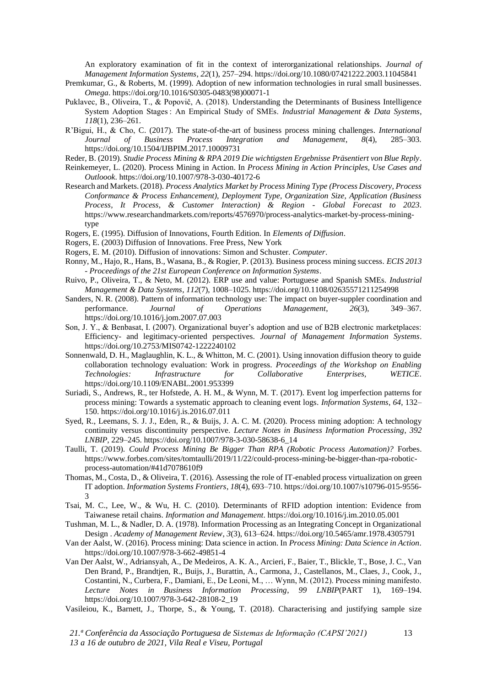An exploratory examination of fit in the context of interorganizational relationships. *Journal of Management Information Systems*, *22*(1), 257–294. https://doi.org/10.1080/07421222.2003.11045841

- Premkumar, G., & Roberts, M. (1999). Adoption of new information technologies in rural small businesses. *Omega*. https://doi.org/10.1016/S0305-0483(98)00071-1
- Puklavec, B., Oliveira, T., & Popovič, A. (2018). Understanding the Determinants of Business Intelligence System Adoption Stages : An Empirical Study of SMEs. *Industrial Management & Data Systems*, *118*(1), 236–261.
- R'Bigui, H., & Cho, C. (2017). The state-of-the-art of business process mining challenges. *International Journal of Business Process Integration and Management*, *8*(4), 285–303. https://doi.org/10.1504/IJBPIM.2017.10009731
- Reder, B. (2019). *Studie Process Mining & RPA 2019 Die wichtigsten Ergebnisse Präsentiert von Blue Reply*.
- Reinkemeyer, L. (2020). Process Mining in Action. In *Process Mining in Action Principles, Use Cases and Outloook*. https://doi.org/10.1007/978-3-030-40172-6
- Research and Markets. (2018). *Process Analytics Market by Process Mining Type (Process Discovery, Process Conformance & Process Enhancement), Deployment Type, Organization Size, Application (Business Process, It Process, & Customer Interaction) & Region - Global Forecast to 2023*. https://www.researchandmarkets.com/reports/4576970/process-analytics-market-by-process-miningtype
- Rogers, E. (1995). Diffusion of Innovations, Fourth Edition. In *Elements of Diffusion*.
- Rogers, E. (2003) Diffusion of Innovations. Free Press, New York
- Rogers, E. M. (2010). Diffusion of innovations: Simon and Schuster. *Computer*.
- Ronny, M., Hajo, R., Hans, B., Wasana, B., & Rogier, P. (2013). Business process mining success. *ECIS 2013 - Proceedings of the 21st European Conference on Information Systems*.
- Ruivo, P., Oliveira, T., & Neto, M. (2012). ERP use and value: Portuguese and Spanish SMEs. *Industrial Management & Data Systems*, *112*(7), 1008–1025. https://doi.org/10.1108/02635571211254998
- Sanders, N. R. (2008). Pattern of information technology use: The impact on buyer-suppler coordination and performance. *Journal of Operations Management*, *26*(3), 349–367. https://doi.org/10.1016/j.jom.2007.07.003
- Son, J. Y., & Benbasat, I. (2007). Organizational buyer's adoption and use of B2B electronic marketplaces: Efficiency- and legitimacy-oriented perspectives. *Journal of Management Information Systems*. https://doi.org/10.2753/MIS0742-1222240102
- Sonnenwald, D. H., Maglaughlin, K. L., & Whitton, M. C. (2001). Using innovation diffusion theory to guide collaboration technology evaluation: Work in progress. *Proceedings of the Workshop on Enabling Technologies: Infrastructure for Collaborative Enterprises, WETICE*. https://doi.org/10.1109/ENABL.2001.953399
- Suriadi, S., Andrews, R., ter Hofstede, A. H. M., & Wynn, M. T. (2017). Event log imperfection patterns for process mining: Towards a systematic approach to cleaning event logs. *Information Systems*, *64*, 132– 150. https://doi.org/10.1016/j.is.2016.07.011
- Syed, R., Leemans, S. J. J., Eden, R., & Buijs, J. A. C. M. (2020). Process mining adoption: A technology continuity versus discontinuity perspective. *Lecture Notes in Business Information Processing*, *392 LNBIP*, 229–245. https://doi.org/10.1007/978-3-030-58638-6\_14
- Taulli, T. (2019). *Could Process Mining Be Bigger Than RPA (Robotic Process Automation)?* Forbes. https://www.forbes.com/sites/tomtaulli/2019/11/22/could-process-mining-be-bigger-than-rpa-roboticprocess-automation/#41d7078610f9
- Thomas, M., Costa, D., & Oliveira, T. (2016). Assessing the role of IT-enabled process virtualization on green IT adoption. *Information Systems Frontiers*, *18*(4), 693–710. https://doi.org/10.1007/s10796-015-9556- 3
- Tsai, M. C., Lee, W., & Wu, H. C. (2010). Determinants of RFID adoption intention: Evidence from Taiwanese retail chains. *Information and Management*. https://doi.org/10.1016/j.im.2010.05.001
- Tushman, M. L., & Nadler, D. A. (1978). Information Processing as an Integrating Concept in Organizational Design . *Academy of Management Review*, *3*(3), 613–624. https://doi.org/10.5465/amr.1978.4305791
- Van der Aalst, W. (2016). Process mining: Data science in action. In *Process Mining: Data Science in Action*. https://doi.org/10.1007/978-3-662-49851-4
- Van Der Aalst, W., Adriansyah, A., De Medeiros, A. K. A., Arcieri, F., Baier, T., Blickle, T., Bose, J. C., Van Den Brand, P., Brandtjen, R., Buijs, J., Burattin, A., Carmona, J., Castellanos, M., Claes, J., Cook, J., Costantini, N., Curbera, F., Damiani, E., De Leoni, M., … Wynn, M. (2012). Process mining manifesto. *Lecture Notes in Business Information Processing*, *99 LNBIP*(PART 1), 169–194. https://doi.org/10.1007/978-3-642-28108-2\_19
- Vasileiou, K., Barnett, J., Thorpe, S., & Young, T. (2018). Characterising and justifying sample size

*21.ª Conferência da Associação Portuguesa de Sistemas de Informação (CAPSI'2021) 13 a 16 de outubro de 2021, Vila Real e Viseu, Portugal*